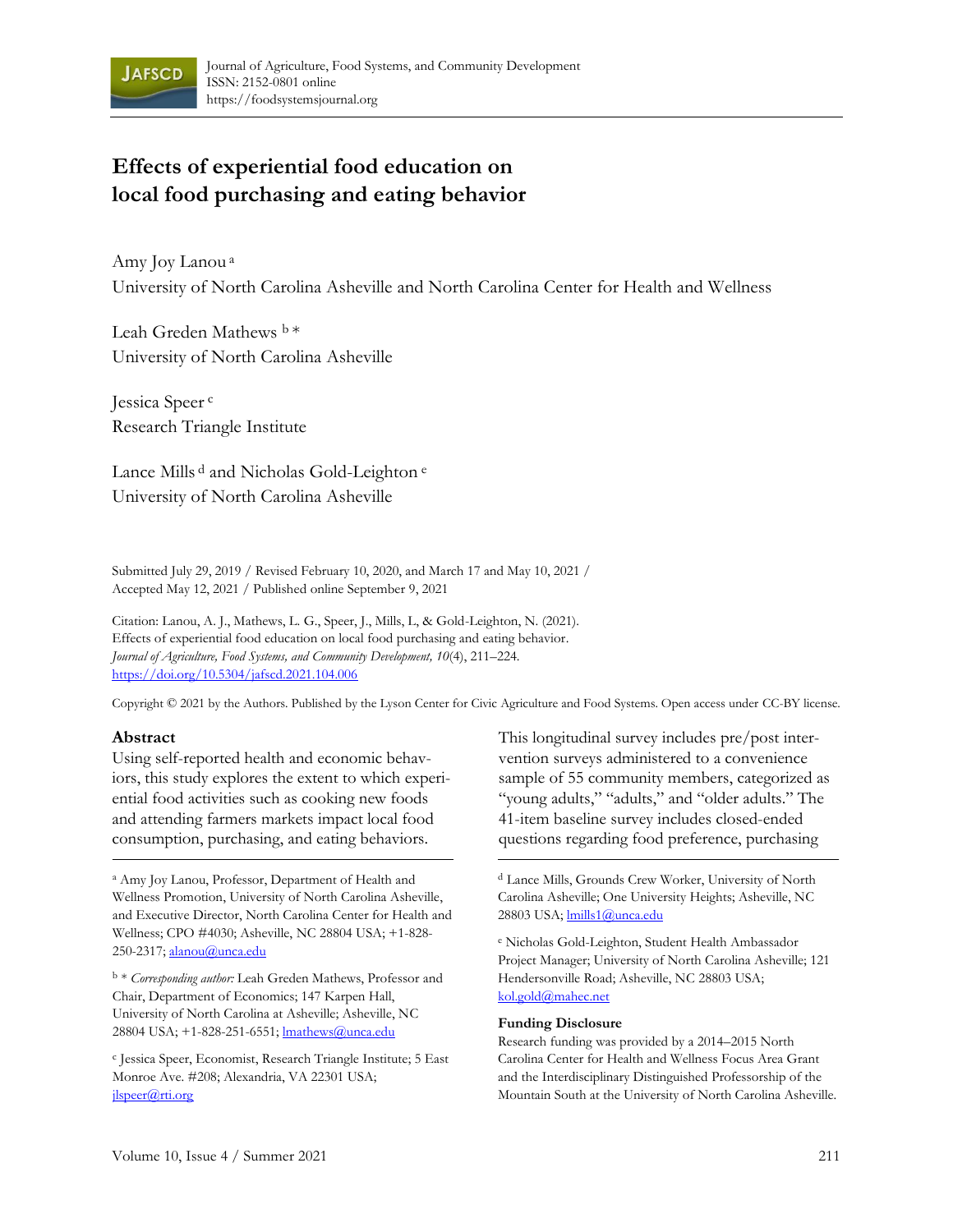

# **Effects of experiential food education on local food purchasing and eating behavior**

Amy Joy Lanou <sup>a</sup> University of North Carolina Asheville and North Carolina Center for Health and Wellness

Leah Greden Mathews b \* University of North Carolina Asheville

Jessica Speer <sup>c</sup> Research Triangle Institute

Lance Mills <sup>d</sup> and Nicholas Gold-Leighton<sup>e</sup> University of North Carolina Asheville

Submitted July 29, 2019 / Revised February 10, 2020, and March 17 and May 10, 2021 / Accepted May 12, 2021 / Published online September 9, 2021

Citation: Lanou, A. J., Mathews, L. G., Speer, J., Mills, L, & Gold-Leighton, N. (2021). Effects of experiential food education on local food purchasing and eating behavior. *Journal of Agriculture, Food Systems, and Community Development, 10*(4), 211–224. https://doi.org/10.5304/jafscd.2021.104.006

[Copyright © 2021 by the Authors. Published by t](https://doi.org/10.5304/jafscd.2021.104.006)he Lyson Center for Civic Agriculture and Food Systems. Open access under CC-BY license.

#### **Abstract**

Using self-reported health and economic behaviors, this study explores the extent to which experiential food activities such as cooking new foods and attending farmers markets impact local food consumption, purchasing, and eating behaviors.

<sup>a</sup> Amy Joy Lanou, Professor, Department of Health and Wellness Promotion, University of North Carolina Asheville, and Executive Director, North Carolina Center for Health and Wellness; CPO #4030; Asheville, NC 28804 USA; +1-828- 250-2317; alanou@unca.edu

<sup>b</sup> \* *Corresponding author:* [Leah Greden M](mailto:alanou@unca.edu)athews, Professor and Chair, Department of Economics; 147 Karpen Hall, University of North Carolina at Asheville; Asheville, NC 28804 USA; +1-828-251-6551; lmathews@unca.edu

c Jessica Speer, Economist, Resear[ch Triangle Institute;](mailto:lmathews@unca.edu) 5 East Monroe Ave. #208; Alexandria, VA 22301 US[A;](mailto:jlspeer@rti.org)  jlspeer@rti.org

This longitudinal survey includes pre/post intervention surveys administered to a convenience sample of 55 community members, categorized as "young adults," "adults," and "older adults." The 41-item baseline survey includes closed-ended questions regarding food preference, purchasing

<sup>d</sup> Lance Mills, Grounds Crew Worker, University of North Carolina Asheville; One University Heights; Asheville, NC 28803 USA; lmills1@unca.edu

<sup>e</sup> Nicholas Gold-Leig[hton, Student Health](mailto:lmills1@unca.edu) Ambassador Project Manager; University of North Carolina Asheville; 121 Hendersonville [Road; Asheville, NC](mailto:kol.gold@mahec.net) 28803 USA; kol.gold@mahec.net

#### **Funding Disclosure**

Research funding was provided by a 2014–2015 North Carolina Center for Health and Wellness Focus Area Grant and the Interdisciplinary Distinguished Professorship of the Mountain South at the University of North Carolina Asheville.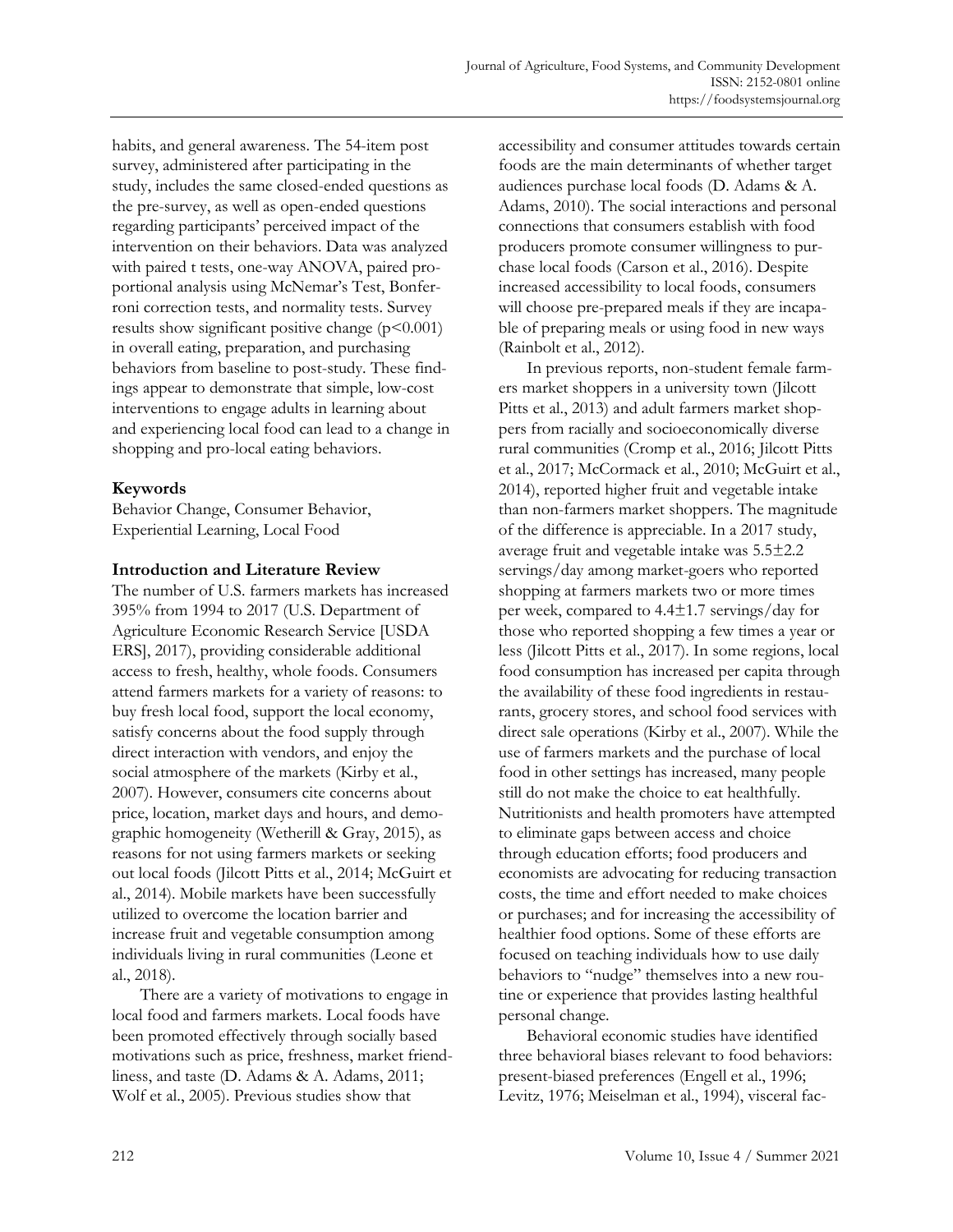habits, and general awareness. The 54-item post survey, administered after participating in the study, includes the same closed-ended questions as the pre-survey, as well as open-ended questions regarding participants' perceived impact of the intervention on their behaviors. Data was analyzed with paired t tests, one-way ANOVA, paired proportional analysis using McNemar's Test, Bonferroni correction tests, and normality tests. Survey results show significant positive change  $(p<0.001)$ in overall eating, preparation, and purchasing behaviors from baseline to post-study. These findings appear to demonstrate that simple, low-cost interventions to engage adults in learning about and experiencing local food can lead to a change in shopping and pro-local eating behaviors.

# **Keywords**

Behavior Change, Consumer Behavior, Experiential Learning, Local Food

#### **Introduction and Literature Review**

The number of U.S. farmers markets has increased 395% from 1994 to 2017 (U.S. Department of Agriculture Economic Research Service [USDA ERS], 2017), providing considerable additional access to fresh, healthy, whole foods. Consumers attend farmers markets for a variety of reasons: to buy fresh local food, support the local economy, satisfy concerns about the food supply through direct interaction with vendors, and enjoy the social atmosphere of the markets (Kirby et al., 2007). However, consumers cite concerns about price, location, market days and hours, and demographic homogeneity (Wetherill & Gray, 2015), as reasons for not using farmers markets or seeking out local foods (Jilcott Pitts et al., 2014; McGuirt et al., 2014). Mobile markets have been successfully utilized to overcome the location barrier and increase fruit and vegetable consumption among individuals living in rural communities (Leone et al., 2018).

There are a variety of motivations to engage in local food and farmers markets. Local foods have been promoted effectively through socially based motivations such as price, freshness, market friendliness, and taste (D. Adams & A. Adams, 2011; Wolf et al., 2005). Previous studies show that

accessibility and consumer attitudes towards certain foods are the main determinants of whether target audiences purchase local foods (D. Adams & A. Adams, 2010). The social interactions and personal connections that consumers establish with food producers promote consumer willingness to purchase local foods (Carson et al., 2016). Despite increased accessibility to local foods, consumers will choose pre-prepared meals if they are incapable of preparing meals or using food in new ways (Rainbolt et al., 2012).

In previous reports, non-student female farmers market shoppers in a university town (Jilcott Pitts et al., 2013) and adult farmers market shoppers from racially and socioeconomically diverse rural communities (Cromp et al., 2016; Jilcott Pitts et al., 2017; McCormack et al., 2010; McGuirt et al., 2014), reported higher fruit and vegetable intake than non-farmers market shoppers. The magnitude of the difference is appreciable. In a 2017 study, average fruit and vegetable intake was 5.5±2.2 servings/day among market-goers who reported shopping at farmers markets two or more times per week, compared to 4.4±1.7 servings/day for those who reported shopping a few times a year or less (Jilcott Pitts et al., 2017). In some regions, local food consumption has increased per capita through the availability of these food ingredients in restaurants, grocery stores, and school food services with direct sale operations (Kirby et al., 2007). While the use of farmers markets and the purchase of local food in other settings has increased, many people still do not make the choice to eat healthfully. Nutritionists and health promoters have attempted to eliminate gaps between access and choice through education efforts; food producers and economists are advocating for reducing transaction costs, the time and effort needed to make choices or purchases; and for increasing the accessibility of healthier food options. Some of these efforts are focused on teaching individuals how to use daily behaviors to "nudge" themselves into a new routine or experience that provides lasting healthful personal change.

Behavioral economic studies have identified three behavioral biases relevant to food behaviors: present-biased preferences (Engell et al., 1996; Levitz, 1976; Meiselman et al., 1994), visceral fac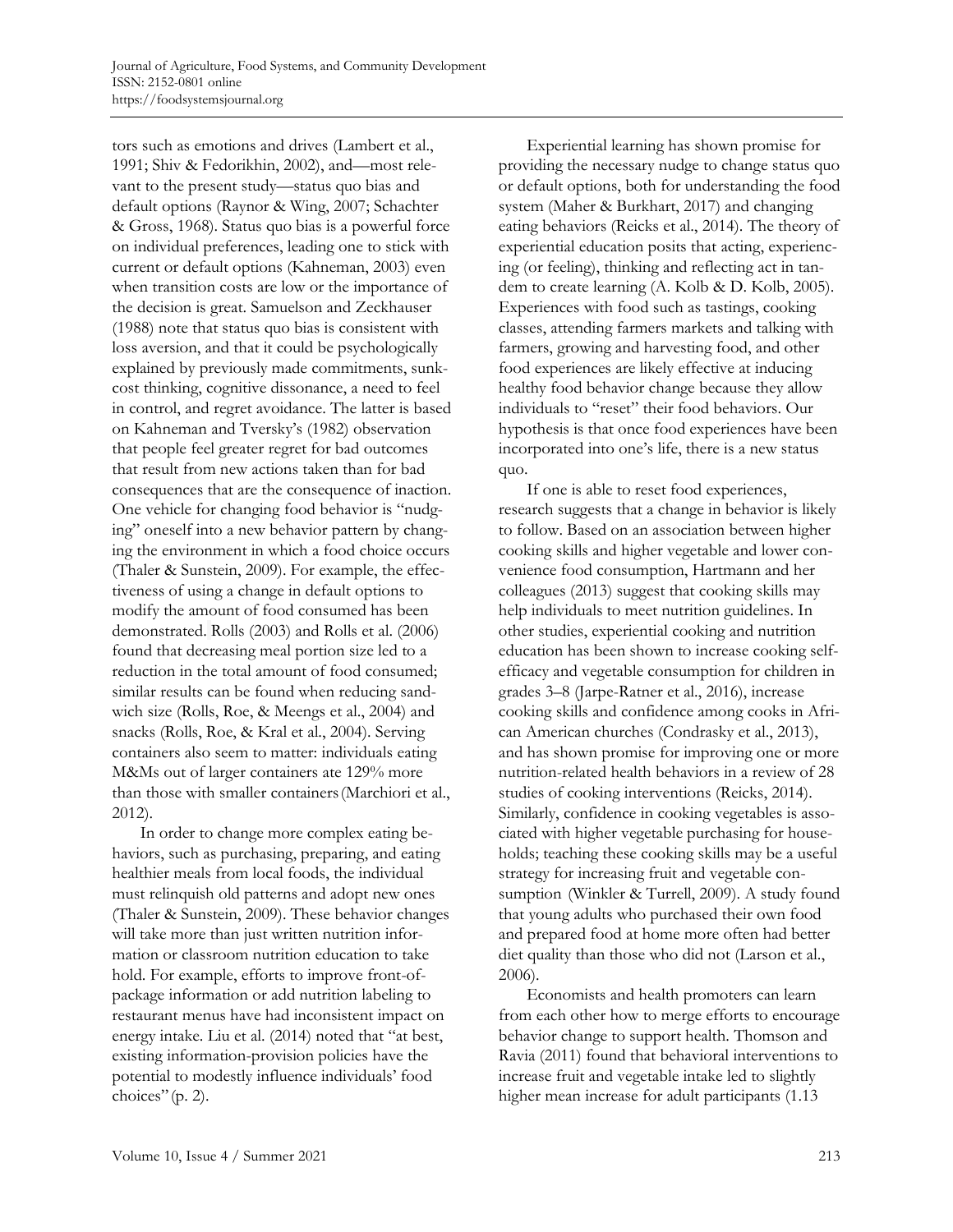tors such as emotions and drives (Lambert et al., 1991; Shiv & Fedorikhin, 2002), and—most relevant to the present study—status quo bias and default options (Raynor & Wing, 2007; Schachter & Gross, 1968). Status quo bias is a powerful force on individual preferences, leading one to stick with current or default options (Kahneman, 2003) even when transition costs are low or the importance of the decision is great. Samuelson and Zeckhauser (1988) note that status quo bias is consistent with loss aversion, and that it could be psychologically explained by previously made commitments, sunkcost thinking, cognitive dissonance, a need to feel in control, and regret avoidance. The latter is based on Kahneman and Tversky's (1982) observation that people feel greater regret for bad outcomes that result from new actions taken than for bad consequences that are the consequence of inaction. One vehicle for changing food behavior is "nudging" oneself into a new behavior pattern by changing the environment in which a food choice occurs (Thaler & Sunstein, 2009). For example, the effectiveness of using a change in default options to modify the amount of food consumed has been demonstrated. Rolls (2003) and Rolls et al. (2006) found that decreasing meal portion size led to a reduction in the total amount of food consumed; similar results can be found when reducing sandwich size (Rolls, Roe, & Meengs et al., 2004) and snacks (Rolls, Roe, & Kral et al., 2004). Serving containers also seem to matter: individuals eating M&Ms out of larger containers ate 129% more than those with smaller containers(Marchiori et al., 2012).

In order to change more complex eating behaviors, such as purchasing, preparing, and eating healthier meals from local foods, the individual must relinquish old patterns and adopt new ones (Thaler & Sunstein, 2009). These behavior changes will take more than just written nutrition information or classroom nutrition education to take hold. For example, efforts to improve front-ofpackage information or add nutrition labeling to restaurant menus have had inconsistent impact on energy intake. Liu et al. (2014) noted that "at best, existing information-provision policies have the potential to modestly influence individuals' food choices"(p. 2).

Experiential learning has shown promise for providing the necessary nudge to change status quo or default options, both for understanding the food system (Maher & Burkhart, 2017) and changing eating behaviors (Reicks et al., 2014). The theory of experiential education posits that acting, experiencing (or feeling), thinking and reflecting act in tandem to create learning (A. Kolb & D. Kolb, 2005). Experiences with food such as tastings, cooking classes, attending farmers markets and talking with farmers, growing and harvesting food, and other food experiences are likely effective at inducing healthy food behavior change because they allow individuals to "reset" their food behaviors. Our hypothesis is that once food experiences have been incorporated into one's life, there is a new status quo.

If one is able to reset food experiences, research suggests that a change in behavior is likely to follow. Based on an association between higher cooking skills and higher vegetable and lower convenience food consumption, Hartmann and her colleagues (2013) suggest that cooking skills may help individuals to meet nutrition guidelines. In other studies, experiential cooking and nutrition education has been shown to increase cooking selfefficacy and vegetable consumption for children in grades 3–8 (Jarpe-Ratner et al., 2016), increase cooking skills and confidence among cooks in African American churches (Condrasky et al., 2013), and has shown promise for improving one or more nutrition-related health behaviors in a review of 28 studies of cooking interventions (Reicks, 2014). Similarly, confidence in cooking vegetables is associated with higher vegetable purchasing for households; teaching these cooking skills may be a useful strategy for increasing fruit and vegetable consumption (Winkler & Turrell, 2009). A study found that young adults who purchased their own food and prepared food at home more often had better diet quality than those who did not (Larson et al., 2006).

Economists and health promoters can learn from each other how to merge efforts to encourage behavior change to support health. Thomson and Ravia (2011) found that behavioral interventions to increase fruit and vegetable intake led to slightly higher mean increase for adult participants (1.13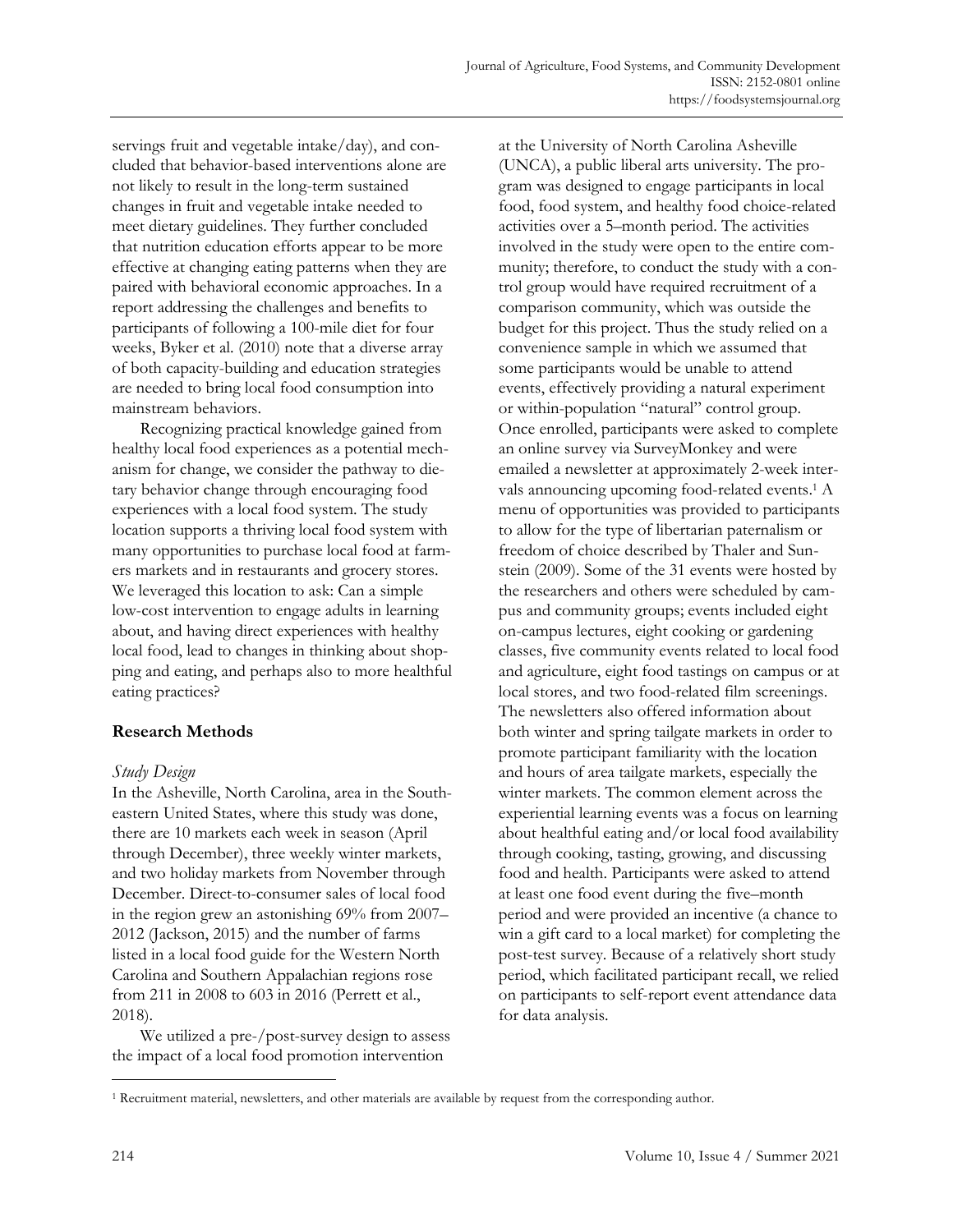servings fruit and vegetable intake/day), and concluded that behavior-based interventions alone are not likely to result in the long-term sustained changes in fruit and vegetable intake needed to meet dietary guidelines. They further concluded that nutrition education efforts appear to be more effective at changing eating patterns when they are paired with behavioral economic approaches. In a report addressing the challenges and benefits to participants of following a 100-mile diet for four weeks, Byker et al. (2010) note that a diverse array of both capacity-building and education strategies are needed to bring local food consumption into mainstream behaviors.

Recognizing practical knowledge gained from healthy local food experiences as a potential mechanism for change, we consider the pathway to dietary behavior change through encouraging food experiences with a local food system. The study location supports a thriving local food system with many opportunities to purchase local food at farmers markets and in restaurants and grocery stores. We leveraged this location to ask: Can a simple low-cost intervention to engage adults in learning about, and having direct experiences with healthy local food, lead to changes in thinking about shopping and eating, and perhaps also to more healthful eating practices?

# **Research Methods**

# *Study Design*

In the Asheville, North Carolina, area in the Southeastern United States, where this study was done, there are 10 markets each week in season (April through December), three weekly winter markets, and two holiday markets from November through December. Direct-to-consumer sales of local food in the region grew an astonishing 69% from 2007– 2012 (Jackson, 2015) and the number of farms listed in a local food guide for the Western North Carolina and Southern Appalachian regions rose from 211 in 2008 to 603 in 2016 (Perrett et al., 2018).

We utilized a pre-/post-survey design to assess the impact of a local food promotion intervention

at the University of North Carolina Asheville (UNCA), a public liberal arts university. The program was designed to engage participants in local food, food system, and healthy food choice-related activities over a 5–month period. The activities involved in the study were open to the entire community; therefore, to conduct the study with a control group would have required recruitment of a comparison community, which was outside the budget for this project. Thus the study relied on a convenience sample in which we assumed that some participants would be unable to attend events, effectively providing a natural experiment or within-population "natural" control group. Once enrolled, participants were asked to complete an online survey via SurveyMonkey and were emailed a newsletter at approximately 2-week intervals announcing upcoming food-related events. <sup>1</sup> A menu of opportunities was provided to participants to allow for the type of libertarian paternalism or freedom of choice described by Thaler and Sunstein (2009). Some of the 31 events were hosted by the researchers and others were scheduled by campus and community groups; events included eight on-campus lectures, eight cooking or gardening classes, five community events related to local food and agriculture, eight food tastings on campus or at local stores, and two food-related film screenings. The newsletters also offered information about both winter and spring tailgate markets in order to promote participant familiarity with the location and hours of area tailgate markets, especially the winter markets. The common element across the experiential learning events was a focus on learning about healthful eating and/or local food availability through cooking, tasting, growing, and discussing food and health. Participants were asked to attend at least one food event during the five–month period and were provided an incentive (a chance to win a gift card to a local market) for completing the post-test survey. Because of a relatively short study period, which facilitated participant recall, we relied on participants to self-report event attendance data for data analysis.

<sup>1</sup> Recruitment material, newsletters, and other materials are available by request from the corresponding author.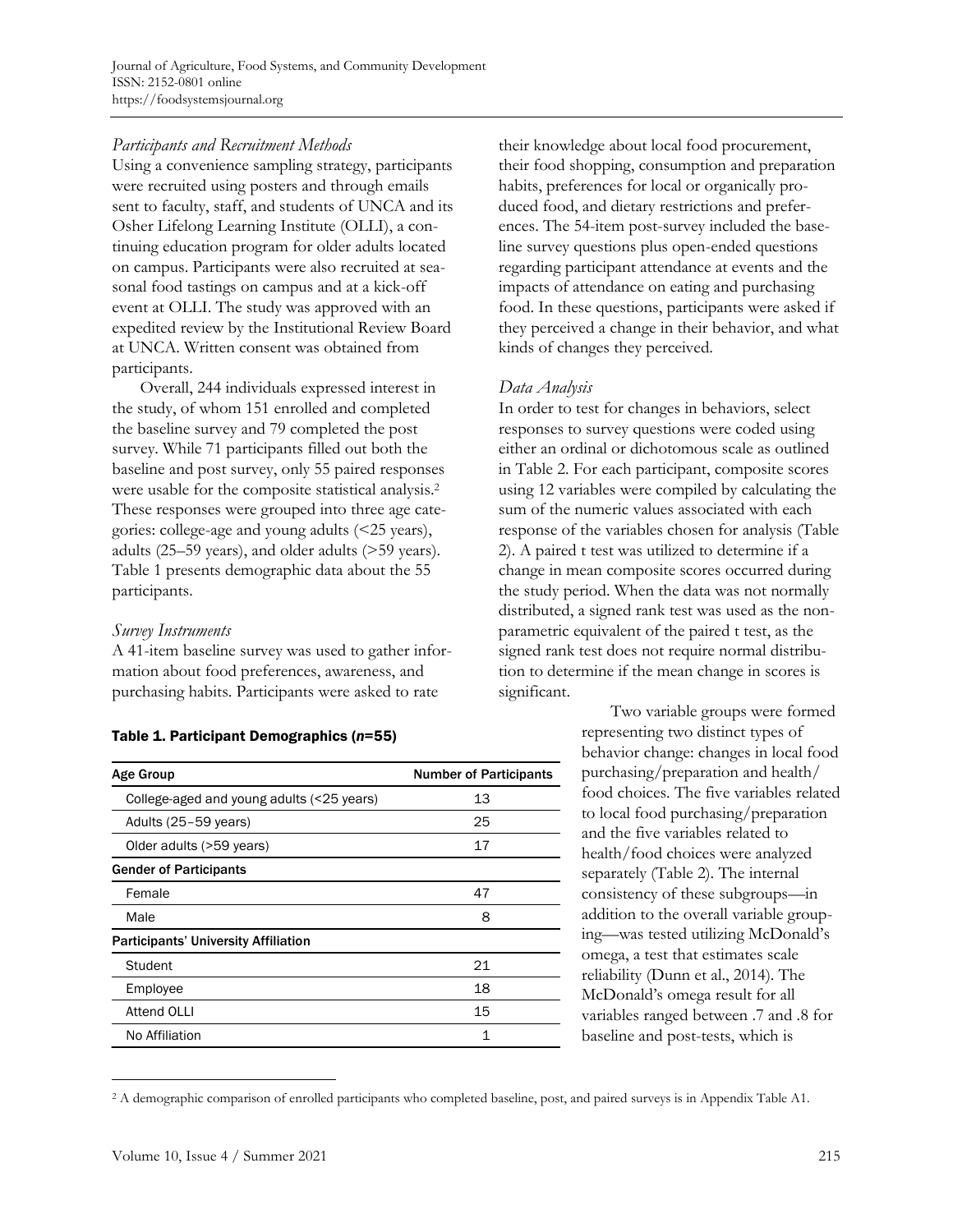Journal of Agriculture, Food Systems, and Community Development ISSN: 2152-0801 online https://foodsystemsjournal.org

### *Participants and Recruitment Methods*

Using a convenience sampling strategy, participants were recruited using posters and through emails sent to faculty, staff, and students of UNCA and its Osher Lifelong Learning Institute (OLLI), a continuing education program for older adults located on campus. Participants were also recruited at seasonal food tastings on campus and at a kick-off event at OLLI. The study was approved with an expedited review by the Institutional Review Board at UNCA. Written consent was obtained from participants.

Overall, 244 individuals expressed interest in the study, of whom 151 enrolled and completed the baseline survey and 79 completed the post survey. While 71 participants filled out both the baseline and post survey, only 55 paired responses were usable for the composite statistical analysis. 2 These responses were grouped into three age categories: college-age and young adults (<25 years), adults (25–59 years), and older adults (>59 years). Table 1 presents demographic data about the 55 participants.

#### *Survey Instruments*

A 41-item baseline survey was used to gather information about food preferences, awareness, and purchasing habits. Participants were asked to rate

#### Table 1. Participant Demographics (*n*=55)

| <b>Age Group</b>                            | <b>Number of Participants</b> |  |
|---------------------------------------------|-------------------------------|--|
| College-aged and young adults (<25 years)   | 13                            |  |
| Adults (25-59 years)                        | 25                            |  |
| Older adults (>59 years)                    | 17                            |  |
| <b>Gender of Participants</b>               |                               |  |
| Female                                      | 47                            |  |
| Male                                        | 8                             |  |
| <b>Participants' University Affiliation</b> |                               |  |
| Student                                     | 21                            |  |
| Employee                                    | 18                            |  |
| <b>Attend OLLI</b>                          | 15                            |  |
| No Affiliation                              | 1                             |  |

their knowledge about local food procurement, their food shopping, consumption and preparation habits, preferences for local or organically produced food, and dietary restrictions and preferences. The 54-item post-survey included the baseline survey questions plus open-ended questions regarding participant attendance at events and the impacts of attendance on eating and purchasing food. In these questions, participants were asked if they perceived a change in their behavior, and what kinds of changes they perceived.

# *Data Analysis*

In order to test for changes in behaviors, select responses to survey questions were coded using either an ordinal or dichotomous scale as outlined in Table 2. For each participant, composite scores using 12 variables were compiled by calculating the sum of the numeric values associated with each response of the variables chosen for analysis (Table 2). A paired t test was utilized to determine if a change in mean composite scores occurred during the study period. When the data was not normally distributed, a signed rank test was used as the nonparametric equivalent of the paired t test, as the signed rank test does not require normal distribution to determine if the mean change in scores is significant.

Two variable groups were formed representing two distinct types of behavior change: changes in local food purchasing/preparation and health/ food choices. The five variables related to local food purchasing/preparation and the five variables related to health/food choices were analyzed separately (Table 2). The internal consistency of these subgroups—in addition to the overall variable grouping—was tested utilizing McDonald's omega, a test that estimates scale reliability (Dunn et al., 2014). The McDonald's omega result for all variables ranged between .7 and .8 for baseline and post-tests, which is

<sup>2</sup> A demographic comparison of enrolled participants who completed baseline, post, and paired surveys is in Appendix Table A1.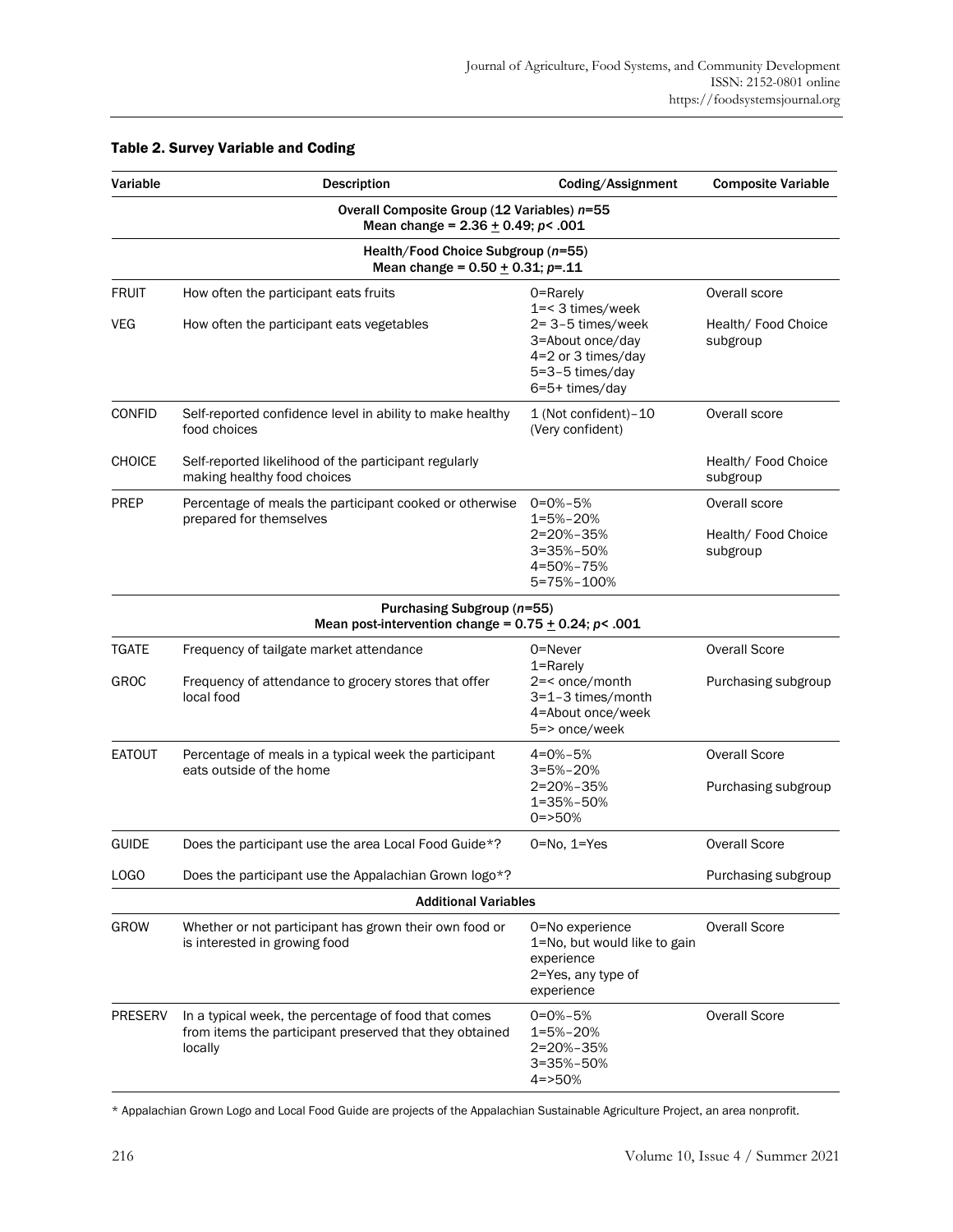| Variable       | <b>Description</b>                                                                                                         | Coding/Assignment                                                                                 | <b>Composite Variable</b>                        |  |  |  |  |
|----------------|----------------------------------------------------------------------------------------------------------------------------|---------------------------------------------------------------------------------------------------|--------------------------------------------------|--|--|--|--|
|                | Overall Composite Group (12 Variables) n=55<br>Mean change = $2.36 \pm 0.49$ ; p< .001                                     |                                                                                                   |                                                  |  |  |  |  |
|                | Health/Food Choice Subgroup (n=55)<br>Mean change = $0.50 + 0.31$ ; p=.11                                                  |                                                                                                   |                                                  |  |  |  |  |
| <b>FRUIT</b>   | How often the participant eats fruits                                                                                      | 0=Rarely<br>1=< 3 times/week                                                                      | Overall score                                    |  |  |  |  |
| VEG            | How often the participant eats vegetables                                                                                  | 2= 3-5 times/week<br>3=About once/day<br>4=2 or 3 times/day<br>5=3-5 times/day<br>6=5+ times/day  | Health/ Food Choice<br>subgroup                  |  |  |  |  |
| <b>CONFID</b>  | Self-reported confidence level in ability to make healthy<br>food choices                                                  | 1 (Not confident)-10<br>(Very confident)                                                          | Overall score                                    |  |  |  |  |
| <b>CHOICE</b>  | Self-reported likelihood of the participant regularly<br>making healthy food choices                                       |                                                                                                   | Health/ Food Choice<br>subgroup                  |  |  |  |  |
| <b>PREP</b>    | Percentage of meals the participant cooked or otherwise<br>prepared for themselves                                         | $0 = 0\% - 5\%$<br>$1 = 5% - 20%$<br>2=20%-35%<br>3=35%-50%<br>4=50%-75%<br>5=75%-100%            | Overall score<br>Health/ Food Choice<br>subgroup |  |  |  |  |
|                | Purchasing Subgroup (n=55)<br>Mean post-intervention change = $0.75 \pm 0.24$ ; p< .001                                    |                                                                                                   |                                                  |  |  |  |  |
| <b>TGATE</b>   | Frequency of tailgate market attendance                                                                                    | 0=Never<br>1=Rarely                                                                               | <b>Overall Score</b>                             |  |  |  |  |
| GROC           | Frequency of attendance to grocery stores that offer<br>local food                                                         | 2=< once/month<br>3=1-3 times/month<br>4=About once/week<br>5=> once/week                         | Purchasing subgroup                              |  |  |  |  |
| <b>EATOUT</b>  | Percentage of meals in a typical week the participant<br>eats outside of the home                                          | $4 = 0% - 5%$<br>$3 = 5% - 20%$<br>2=20%-35%<br>1=35%-50%<br>$0 = >50%$                           | <b>Overall Score</b><br>Purchasing subgroup      |  |  |  |  |
| <b>GUIDE</b>   | Does the participant use the area Local Food Guide*?                                                                       | $0 = No$ , $1 = Yes$                                                                              | <b>Overall Score</b>                             |  |  |  |  |
| LOGO           | Does the participant use the Appalachian Grown logo*?                                                                      |                                                                                                   | Purchasing subgroup                              |  |  |  |  |
|                | <b>Additional Variables</b>                                                                                                |                                                                                                   |                                                  |  |  |  |  |
| GROW           | Whether or not participant has grown their own food or<br>is interested in growing food                                    | 0=No experience<br>1=No, but would like to gain<br>experience<br>2=Yes, any type of<br>experience | <b>Overall Score</b>                             |  |  |  |  |
| <b>PRESERV</b> | In a typical week, the percentage of food that comes<br>from items the participant preserved that they obtained<br>locally | $0 = 0\% - 5\%$<br>1=5%-20%<br>2=20%-35%<br>3=35%-50%<br>$4 = >50%$                               | <b>Overall Score</b>                             |  |  |  |  |

#### Table 2. Survey Variable and Coding

\* Appalachian Grown Logo and Local Food Guide are projects of the Appalachian Sustainable Agriculture Project, an area nonprofit.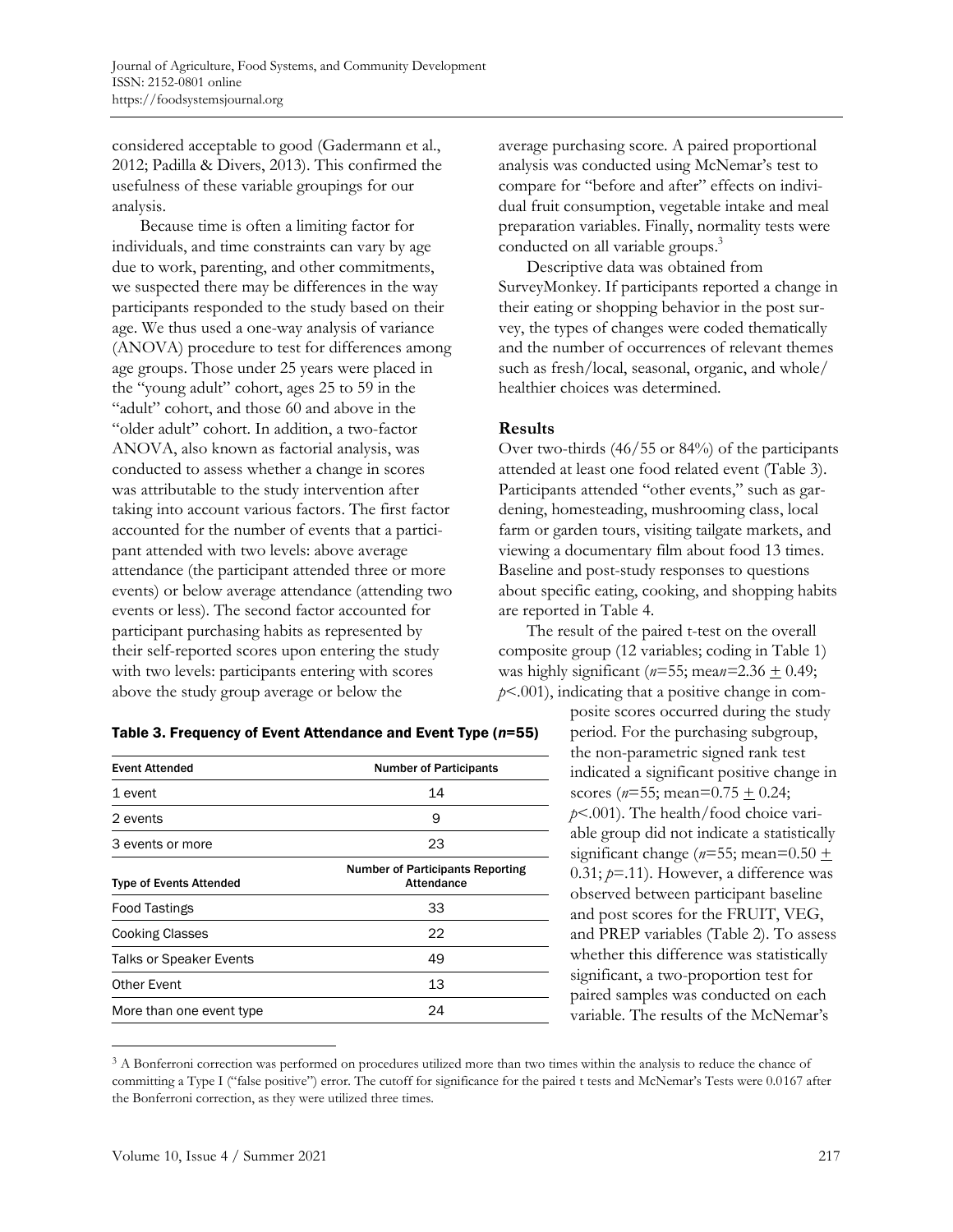considered acceptable to good (Gadermann et al., 2012; Padilla & Divers, 2013). This confirmed the usefulness of these variable groupings for our analysis.

Because time is often a limiting factor for individuals, and time constraints can vary by age due to work, parenting, and other commitments, we suspected there may be differences in the way participants responded to the study based on their age. We thus used a one-way analysis of variance (ANOVA) procedure to test for differences among age groups. Those under 25 years were placed in the "young adult" cohort, ages 25 to 59 in the "adult" cohort, and those 60 and above in the "older adult" cohort. In addition, a two-factor ANOVA, also known as factorial analysis, was conducted to assess whether a change in scores was attributable to the study intervention after taking into account various factors. The first factor accounted for the number of events that a participant attended with two levels: above average attendance (the participant attended three or more events) or below average attendance (attending two events or less). The second factor accounted for participant purchasing habits as represented by their self-reported scores upon entering the study with two levels: participants entering with scores above the study group average or below the

| <b>Event Attended</b>          | <b>Number of Participants</b>                         |  |
|--------------------------------|-------------------------------------------------------|--|
| 1 event                        | 14                                                    |  |
| 2 events                       | 9                                                     |  |
| 3 events or more               | 23                                                    |  |
| <b>Type of Events Attended</b> | <b>Number of Participants Reporting</b><br>Attendance |  |
| <b>Food Tastings</b>           | 33                                                    |  |
| <b>Cooking Classes</b>         | 22                                                    |  |
| <b>Talks or Speaker Events</b> | 49                                                    |  |
| Other Event                    | 13                                                    |  |
| More than one event type       | 24                                                    |  |

#### Table 3. Frequency of Event Attendance and Event Type (*n*=55)

average purchasing score. A paired proportional analysis was conducted using McNemar's test to compare for "before and after" effects on individual fruit consumption, vegetable intake and meal preparation variables. Finally, normality tests were conducted on all variable groups. 3

Descriptive data was obtained from SurveyMonkey. If participants reported a change in their eating or shopping behavior in the post survey, the types of changes were coded thematically and the number of occurrences of relevant themes such as fresh/local, seasonal, organic, and whole/ healthier choices was determined.

#### **Results**

Over two-thirds (46/55 or 84%) of the participants attended at least one food related event (Table 3). Participants attended "other events," such as gardening, homesteading, mushrooming class, local farm or garden tours, visiting tailgate markets, and viewing a documentary film about food 13 times. Baseline and post-study responses to questions about specific eating, cooking, and shopping habits are reported in Table 4.

The result of the paired t-test on the overall composite group (12 variables; coding in Table 1) was highly significant ( $n=55$ ; mea $n=2.36 \pm 0.49$ ; *p*<.001), indicating that a positive change in com-

> posite scores occurred during the study period. For the purchasing subgroup, the non-parametric signed rank test indicated a significant positive change in scores ( $n=55$ ; mean=0.75  $\pm$  0.24; *p*<.001). The health/food choice variable group did not indicate a statistically significant change ( $n=55$ ; mean= $0.50 \pm 1$  $0.31; p=11$ ). However, a difference was observed between participant baseline and post scores for the FRUIT, VEG, and PREP variables (Table 2). To assess whether this difference was statistically significant, a two-proportion test for paired samples was conducted on each variable. The results of the McNemar's

<sup>&</sup>lt;sup>3</sup> A Bonferroni correction was performed on procedures utilized more than two times within the analysis to reduce the chance of committing a Type I ("false positive") error. The cutoff for significance for the paired t tests and McNemar's Tests were 0.0167 after the Bonferroni correction, as they were utilized three times.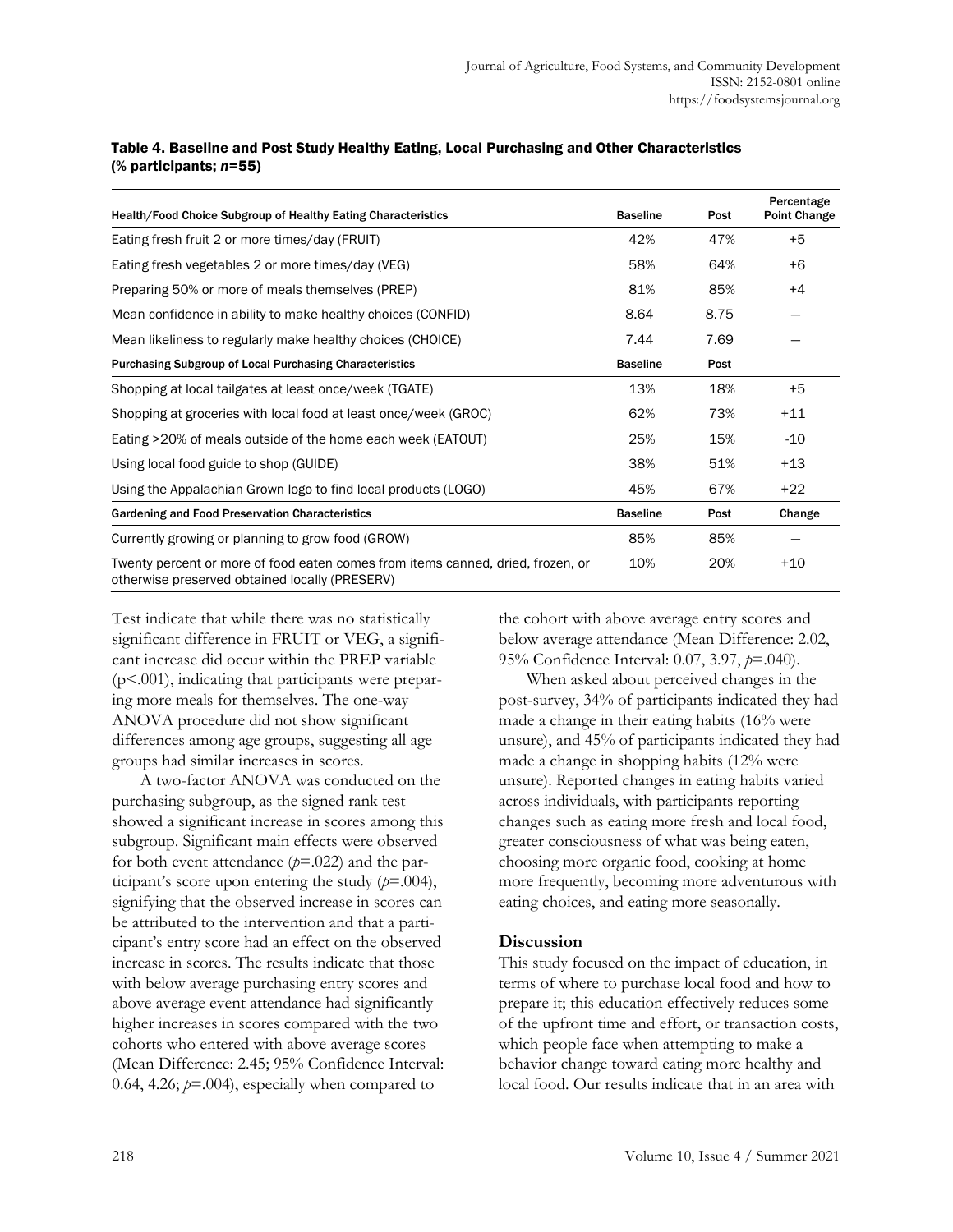| Health/Food Choice Subgroup of Healthy Eating Characteristics                                                                     | <b>Baseline</b> | Post | Percentage<br>Point Change |
|-----------------------------------------------------------------------------------------------------------------------------------|-----------------|------|----------------------------|
| Eating fresh fruit 2 or more times/day (FRUIT)                                                                                    | 42%             | 47%  | $+5$                       |
| Eating fresh vegetables 2 or more times/day (VEG)                                                                                 | 58%             | 64%  | $+6$                       |
| Preparing 50% or more of meals themselves (PREP)                                                                                  | 81%             | 85%  | $+4$                       |
| Mean confidence in ability to make healthy choices (CONFID)                                                                       | 8.64            | 8.75 |                            |
| Mean likeliness to regularly make healthy choices (CHOICE)                                                                        | 7.44            | 7.69 |                            |
| <b>Purchasing Subgroup of Local Purchasing Characteristics</b>                                                                    | <b>Baseline</b> | Post |                            |
| Shopping at local tailgates at least once/week (TGATE)                                                                            | 13%             | 18%  | $+5$                       |
| Shopping at groceries with local food at least once/week (GROC)                                                                   | 62%             | 73%  | $+11$                      |
| Eating >20% of meals outside of the home each week (EATOUT)                                                                       | 25%             | 15%  | $-10$                      |
| Using local food guide to shop (GUIDE)                                                                                            | 38%             | 51%  | $+13$                      |
| Using the Appalachian Grown logo to find local products (LOGO)                                                                    | 45%             | 67%  | $+22$                      |
| Gardening and Food Preservation Characteristics                                                                                   | <b>Baseline</b> | Post | Change                     |
| Currently growing or planning to grow food (GROW)                                                                                 | 85%             | 85%  |                            |
| Twenty percent or more of food eaten comes from items canned, dried, frozen, or<br>otherwise preserved obtained locally (PRESERV) | 10%             | 20%  | $+10$                      |

#### Table 4. Baseline and Post Study Healthy Eating, Local Purchasing and Other Characteristics (% participants; *n=*55)

Test indicate that while there was no statistically significant difference in FRUIT or VEG, a significant increase did occur within the PREP variable (p<.001), indicating that participants were preparing more meals for themselves. The one-way ANOVA procedure did not show significant differences among age groups, suggesting all age groups had similar increases in scores.

A two-factor ANOVA was conducted on the purchasing subgroup, as the signed rank test showed a significant increase in scores among this subgroup. Significant main effects were observed for both event attendance (*p*=.022) and the participant's score upon entering the study  $(p=0.004)$ , signifying that the observed increase in scores can be attributed to the intervention and that a participant's entry score had an effect on the observed increase in scores. The results indicate that those with below average purchasing entry scores and above average event attendance had significantly higher increases in scores compared with the two cohorts who entered with above average scores (Mean Difference: 2.45; 95% Confidence Interval: 0.64, 4.26;  $p=0.004$ ), especially when compared to

the cohort with above average entry scores and below average attendance (Mean Difference: 2.02, 95% Confidence Interval: 0.07, 3.97, *p*=.040).

When asked about perceived changes in the post-survey, 34% of participants indicated they had made a change in their eating habits (16% were unsure), and 45% of participants indicated they had made a change in shopping habits (12% were unsure). Reported changes in eating habits varied across individuals, with participants reporting changes such as eating more fresh and local food, greater consciousness of what was being eaten, choosing more organic food, cooking at home more frequently, becoming more adventurous with eating choices, and eating more seasonally.

#### **Discussion**

This study focused on the impact of education, in terms of where to purchase local food and how to prepare it; this education effectively reduces some of the upfront time and effort, or transaction costs, which people face when attempting to make a behavior change toward eating more healthy and local food. Our results indicate that in an area with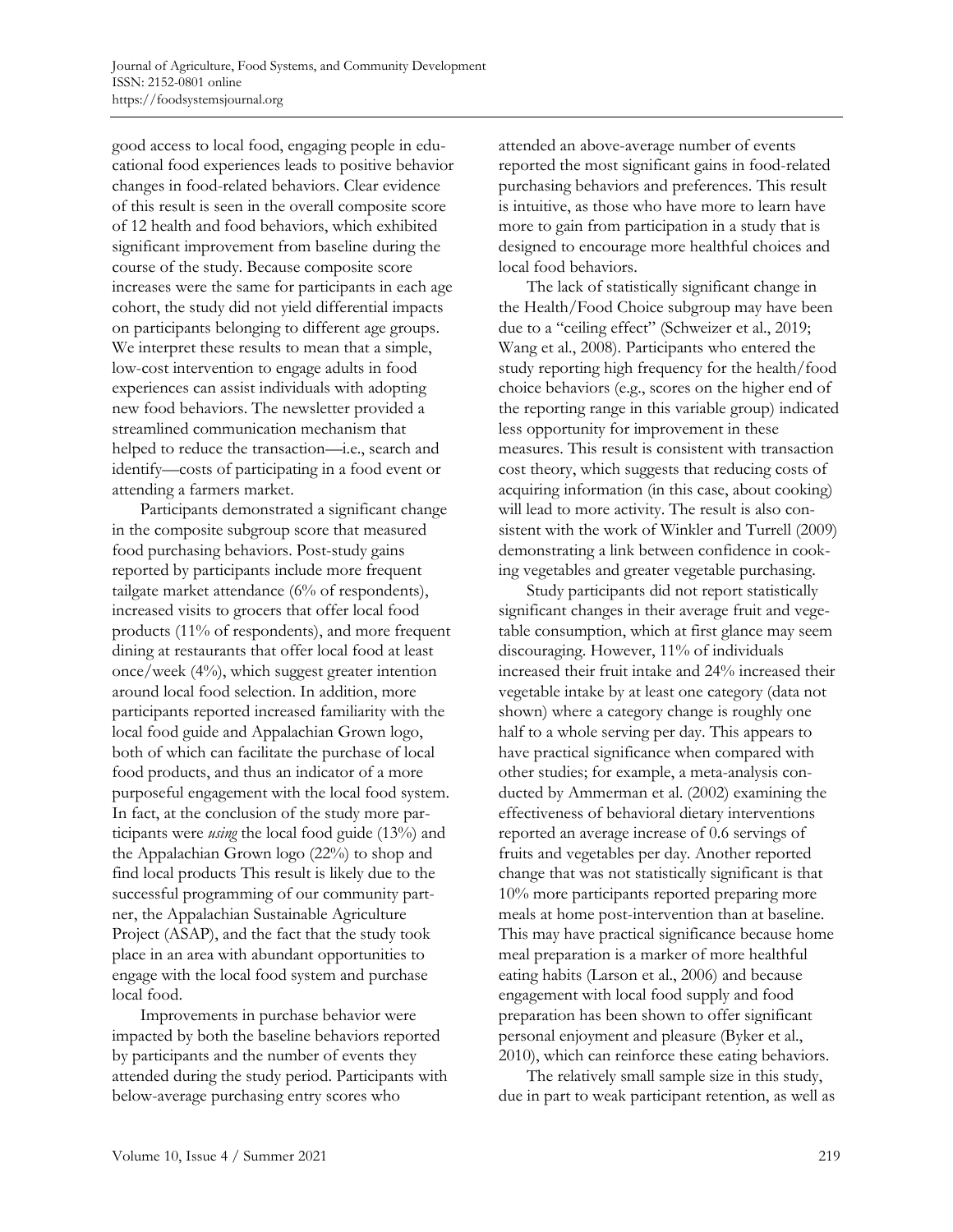good access to local food, engaging people in educational food experiences leads to positive behavior changes in food-related behaviors. Clear evidence of this result is seen in the overall composite score of 12 health and food behaviors, which exhibited significant improvement from baseline during the course of the study. Because composite score increases were the same for participants in each age cohort, the study did not yield differential impacts on participants belonging to different age groups. We interpret these results to mean that a simple, low-cost intervention to engage adults in food experiences can assist individuals with adopting new food behaviors. The newsletter provided a streamlined communication mechanism that helped to reduce the transaction—i.e., search and identify—costs of participating in a food event or attending a farmers market.

Participants demonstrated a significant change in the composite subgroup score that measured food purchasing behaviors. Post-study gains reported by participants include more frequent tailgate market attendance (6% of respondents), increased visits to grocers that offer local food products (11% of respondents), and more frequent dining at restaurants that offer local food at least once/week (4%), which suggest greater intention around local food selection. In addition, more participants reported increased familiarity with the local food guide and Appalachian Grown logo, both of which can facilitate the purchase of local food products, and thus an indicator of a more purposeful engagement with the local food system. In fact, at the conclusion of the study more participants were *using* the local food guide (13%) and the Appalachian Grown logo (22%) to shop and find local products This result is likely due to the successful programming of our community partner, the Appalachian Sustainable Agriculture Project (ASAP), and the fact that the study took place in an area with abundant opportunities to engage with the local food system and purchase local food.

Improvements in purchase behavior were impacted by both the baseline behaviors reported by participants and the number of events they attended during the study period. Participants with below-average purchasing entry scores who

attended an above-average number of events reported the most significant gains in food-related purchasing behaviors and preferences. This result is intuitive, as those who have more to learn have more to gain from participation in a study that is designed to encourage more healthful choices and local food behaviors.

The lack of statistically significant change in the Health/Food Choice subgroup may have been due to a "ceiling effect" (Schweizer et al., 2019; Wang et al., 2008). Participants who entered the study reporting high frequency for the health/food choice behaviors (e.g., scores on the higher end of the reporting range in this variable group) indicated less opportunity for improvement in these measures. This result is consistent with transaction cost theory, which suggests that reducing costs of acquiring information (in this case, about cooking) will lead to more activity. The result is also consistent with the work of Winkler and Turrell (2009) demonstrating a link between confidence in cooking vegetables and greater vegetable purchasing.

Study participants did not report statistically significant changes in their average fruit and vegetable consumption, which at first glance may seem discouraging. However, 11% of individuals increased their fruit intake and 24% increased their vegetable intake by at least one category (data not shown) where a category change is roughly one half to a whole serving per day. This appears to have practical significance when compared with other studies; for example, a meta-analysis conducted by Ammerman et al. (2002) examining the effectiveness of behavioral dietary interventions reported an average increase of 0.6 servings of fruits and vegetables per day. Another reported change that was not statistically significant is that 10% more participants reported preparing more meals at home post-intervention than at baseline. This may have practical significance because home meal preparation is a marker of more healthful eating habits (Larson et al., 2006) and because engagement with local food supply and food preparation has been shown to offer significant personal enjoyment and pleasure (Byker et al., 2010), which can reinforce these eating behaviors.

The relatively small sample size in this study, due in part to weak participant retention, as well as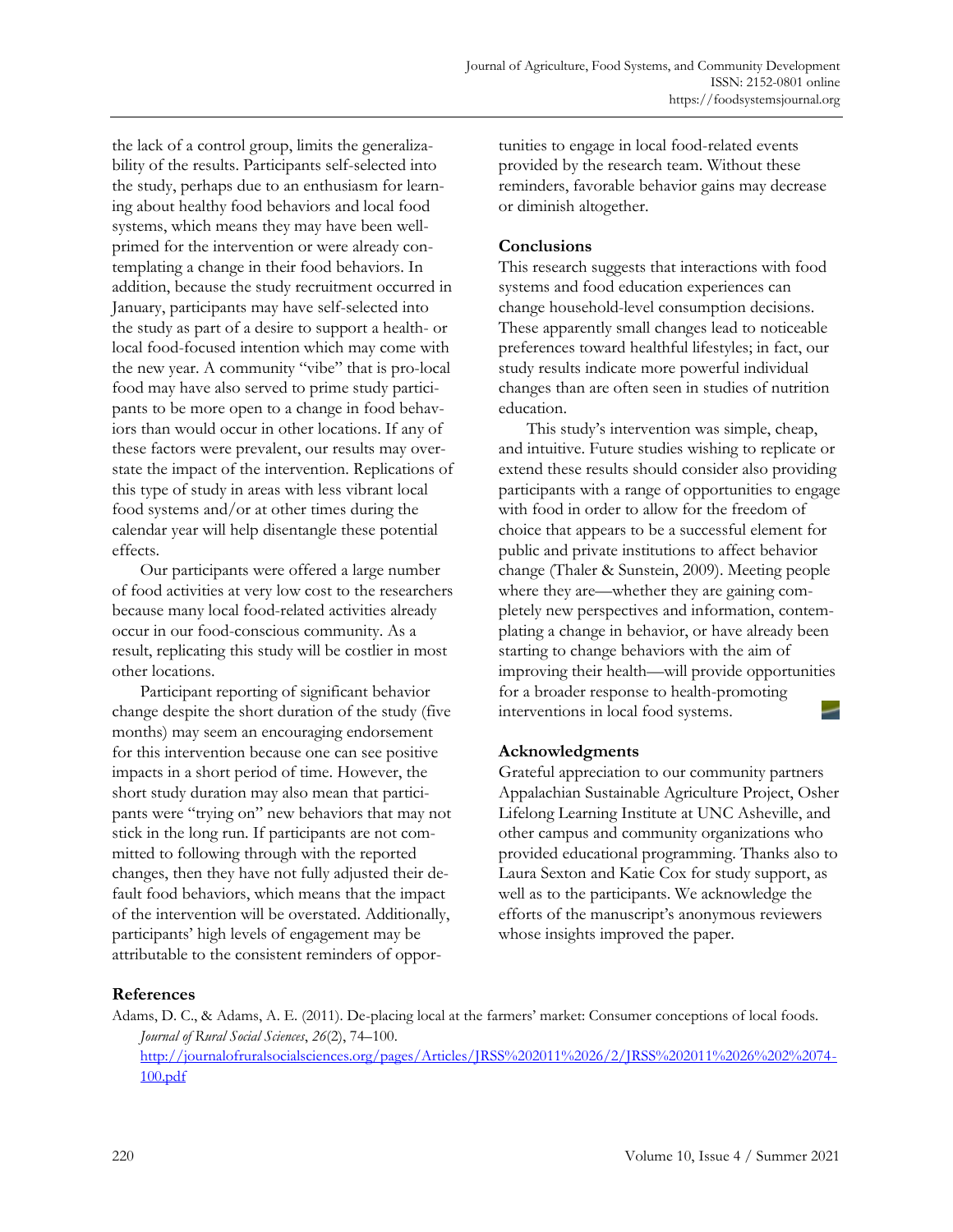the lack of a control group, limits the generalizability of the results. Participants self-selected into the study, perhaps due to an enthusiasm for learning about healthy food behaviors and local food systems, which means they may have been wellprimed for the intervention or were already contemplating a change in their food behaviors. In addition, because the study recruitment occurred in January, participants may have self-selected into the study as part of a desire to support a health- or local food-focused intention which may come with the new year. A community "vibe" that is pro-local food may have also served to prime study participants to be more open to a change in food behaviors than would occur in other locations. If any of these factors were prevalent, our results may overstate the impact of the intervention. Replications of this type of study in areas with less vibrant local food systems and/or at other times during the calendar year will help disentangle these potential effects.

Our participants were offered a large number of food activities at very low cost to the researchers because many local food-related activities already occur in our food-conscious community. As a result, replicating this study will be costlier in most other locations.

Participant reporting of significant behavior change despite the short duration of the study (five months) may seem an encouraging endorsement for this intervention because one can see positive impacts in a short period of time. However, the short study duration may also mean that participants were "trying on" new behaviors that may not stick in the long run. If participants are not committed to following through with the reported changes, then they have not fully adjusted their default food behaviors, which means that the impact of the intervention will be overstated. Additionally, participants' high levels of engagement may be attributable to the consistent reminders of opportunities to engage in local food-related events provided by the research team. Without these reminders, favorable behavior gains may decrease or diminish altogether.

### **Conclusions**

This research suggests that interactions with food systems and food education experiences can change household-level consumption decisions. These apparently small changes lead to noticeable preferences toward healthful lifestyles; in fact, our study results indicate more powerful individual changes than are often seen in studies of nutrition education.

This study's intervention was simple, cheap, and intuitive. Future studies wishing to replicate or extend these results should consider also providing participants with a range of opportunities to engage with food in order to allow for the freedom of choice that appears to be a successful element for public and private institutions to affect behavior change (Thaler & Sunstein, 2009). Meeting people where they are—whether they are gaining completely new perspectives and information, contemplating a change in behavior, or have already been starting to change behaviors with the aim of improving their health—will provide opportunities for a broader response to health-promoting interventions in local food systems.

# **Acknowledgments**

Grateful appreciation to our community partners Appalachian Sustainable Agriculture Project, Osher Lifelong Learning Institute at UNC Asheville, and other campus and community organizations who provided educational programming. Thanks also to Laura Sexton and Katie Cox for study support, as well as to the participants. We acknowledge the efforts of the manuscript's anonymous reviewers whose insights improved the paper.

# **References**

Adams, D. C., & Adams, A. E. (2011). De-placing local at the farmers' market: Consumer conceptions of local foods. *Journal of Rural Social Sciences*, *26*(2), 74–100. [http://journalofruralsocialsciences.org/pages/Articles/JRSS%202011%2026/2/JRSS%202011%2026%202%2074-](http://journalofruralsocialsciences.org/pages/Articles/JRSS%202011%2026/2/JRSS%202011%2026%202%2074-100.pdf) [100.pdf](http://journalofruralsocialsciences.org/pages/Articles/JRSS%202011%2026/2/JRSS%202011%2026%202%2074-100.pdf)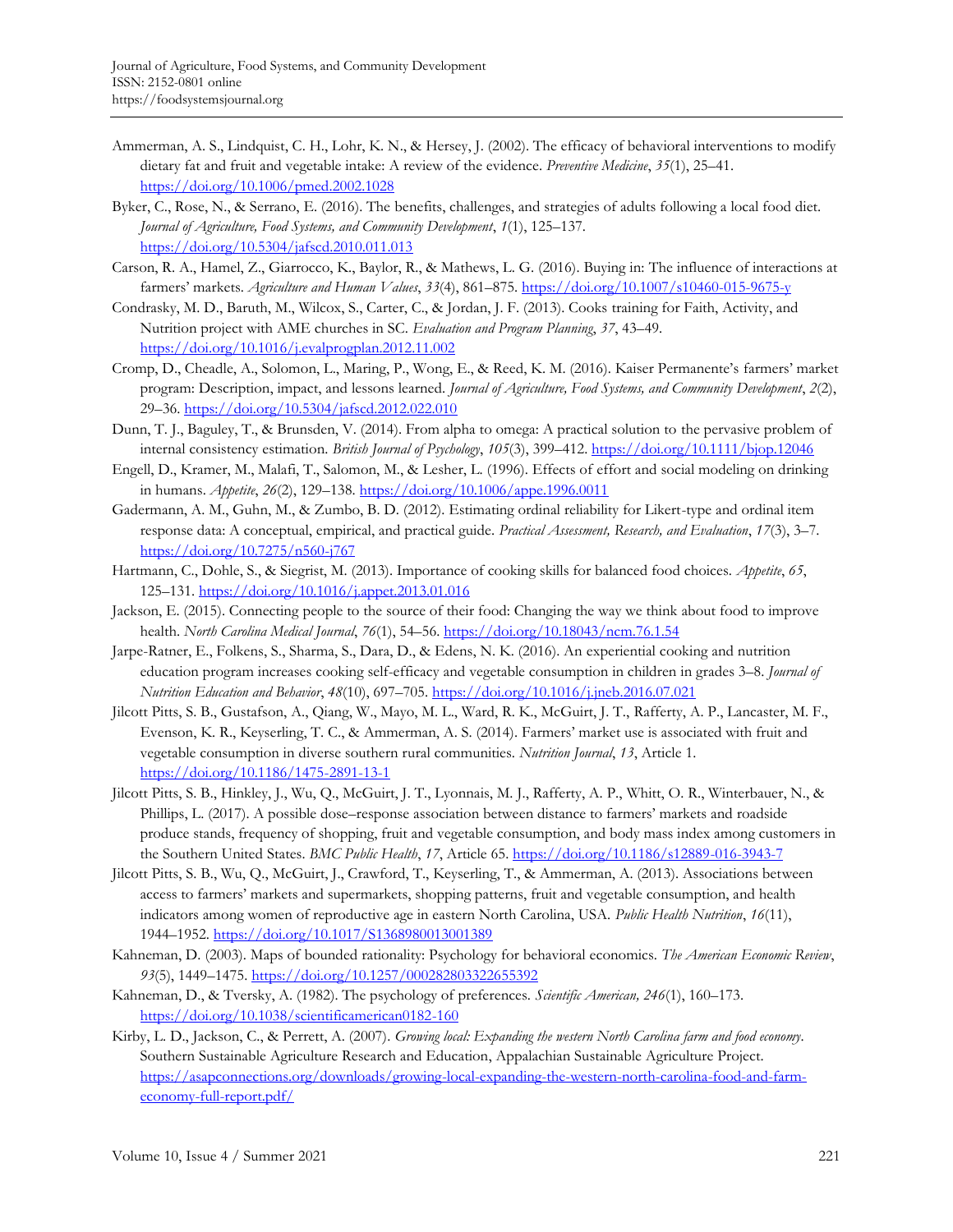- Ammerman, A. S., Lindquist, C. H., Lohr, K. N., & Hersey, J. (2002). The efficacy of behavioral interventions to modify dietary fat and fruit and vegetable intake: A review of the evidence. *Preventive Medicine*, *35*(1), 25–41. <https://doi.org/10.1006/pmed.2002.1028>
- Byker, C., Rose, N., & Serrano, E. (2016). The benefits, challenges, and strategies of adults following a local food diet. *Journal of Agriculture, Food Systems, and Community Development*, *1*(1), 125–137. <https://doi.org/10.5304/jafscd.2010.011.013>
- Carson, R. A., Hamel, Z., Giarrocco, K., Baylor, R., & Mathews, L. G. (2016). Buying in: The influence of interactions at farmers' markets. *Agriculture and Human Values*, *33*(4), 861–875.<https://doi.org/10.1007/s10460-015-9675-y>
- Condrasky, M. D., Baruth, M., Wilcox, S., Carter, C., & Jordan, J. F. (2013). Cooks training for Faith, Activity, and Nutrition project with AME churches in SC. *Evaluation and Program Planning*, *37*, 43–49. <https://doi.org/10.1016/j.evalprogplan.2012.11.002>
- Cromp, D., Cheadle, A., Solomon, L., Maring, P., Wong, E., & Reed, K. M. (2016). Kaiser Permanente's farmers' market program: Description, impact, and lessons learned. *Journal of Agriculture, Food Systems, and Community Development*, *2*(2), 29–36. <https://doi.org/10.5304/jafscd.2012.022.010>
- Dunn, T. J., Baguley, T., & Brunsden, V. (2014). From alpha to omega: A practical solution to the pervasive problem of internal consistency estimation. *British Journal of Psychology*, *105*(3), 399–412. <https://doi.org/10.1111/bjop.12046>
- Engell, D., Kramer, M., Malafi, T., Salomon, M., & Lesher, L. (1996). Effects of effort and social modeling on drinking in humans. *Appetite*, *26*(2), 129–138.<https://doi.org/10.1006/appe.1996.0011>
- Gadermann, A. M., Guhn, M., & Zumbo, B. D. (2012). Estimating ordinal reliability for Likert-type and ordinal item response data: A conceptual, empirical, and practical guide. *Practical Assessment, Research, and Evaluation*, *17*(3), 3–7. <https://doi.org/10.7275/n560-j767>
- Hartmann, C., Dohle, S., & Siegrist, M. (2013). Importance of cooking skills for balanced food choices. *Appetite*, *65*, 125–131.<https://doi.org/10.1016/j.appet.2013.01.016>
- Jackson, E. (2015). Connecting people to the source of their food: Changing the way we think about food to improve health. *North Carolina Medical Journal*, *76*(1), 54–56. <https://doi.org/10.18043/ncm.76.1.54>
- Jarpe-Ratner, E., Folkens, S., Sharma, S., Dara, D., & Edens, N. K. (2016). An experiential cooking and nutrition education program increases cooking self-efficacy and vegetable consumption in children in grades 3–8. *Journal of Nutrition Education and Behavior*, *48*(10), 697–705.<https://doi.org/10.1016/j.jneb.2016.07.021>
- Jilcott Pitts, S. B., Gustafson, A., Qiang, W., Mayo, M. L., Ward, R. K., McGuirt, J. T., Rafferty, A. P., Lancaster, M. F., Evenson, K. R., Keyserling, T. C., & Ammerman, A. S. (2014). Farmers' market use is associated with fruit and vegetable consumption in diverse southern rural communities. *Nutrition Journal*, *13*, Article 1. <https://doi.org/10.1186/1475-2891-13-1>
- Jilcott Pitts, S. B., Hinkley, J., Wu, Q., McGuirt, J. T., Lyonnais, M. J., Rafferty, A. P., Whitt, O. R., Winterbauer, N., & Phillips, L. (2017). A possible dose–response association between distance to farmers' markets and roadside produce stands, frequency of shopping, fruit and vegetable consumption, and body mass index among customers in the Southern United States. *BMC Public Health*, *17*, Article 65[. https://doi.org/10.1186/s12889-016-3943-7](https://doi.org/10.1186/s12889-016-3943-7)
- Jilcott Pitts, S. B., Wu, Q., McGuirt, J., Crawford, T., Keyserling, T., & Ammerman, A. (2013). Associations between access to farmers' markets and supermarkets, shopping patterns, fruit and vegetable consumption, and health indicators among women of reproductive age in eastern North Carolina, USA. *Public Health Nutrition*, *16*(11), 1944–1952.<https://doi.org/10.1017/S1368980013001389>
- Kahneman, D. (2003). Maps of bounded rationality: Psychology for behavioral economics. *The American Economic Review*, *93*(5), 1449–1475.<https://doi.org/10.1257/000282803322655392>
- Kahneman, D., & Tversky, A. (1982). The psychology of preferences. *Scientific American, 246*(1), 160–173. <https://doi.org/10.1038/scientificamerican0182-160>
- Kirby, L. D., Jackson, C., & Perrett, A. (2007). *Growing local: Expanding the western North Carolina farm and food economy*. Southern Sustainable Agriculture Research and Education, Appalachian Sustainable Agriculture Project. [https://asapconnections.org/downloads/growing-local-expanding-the-western-north-carolina-food-and-farm](https://asapconnections.org/downloads/growing-local-expanding-the-western-north-carolina-food-and-farm-economy-full-report.pdf/)[economy-full-report.pdf/](https://asapconnections.org/downloads/growing-local-expanding-the-western-north-carolina-food-and-farm-economy-full-report.pdf/)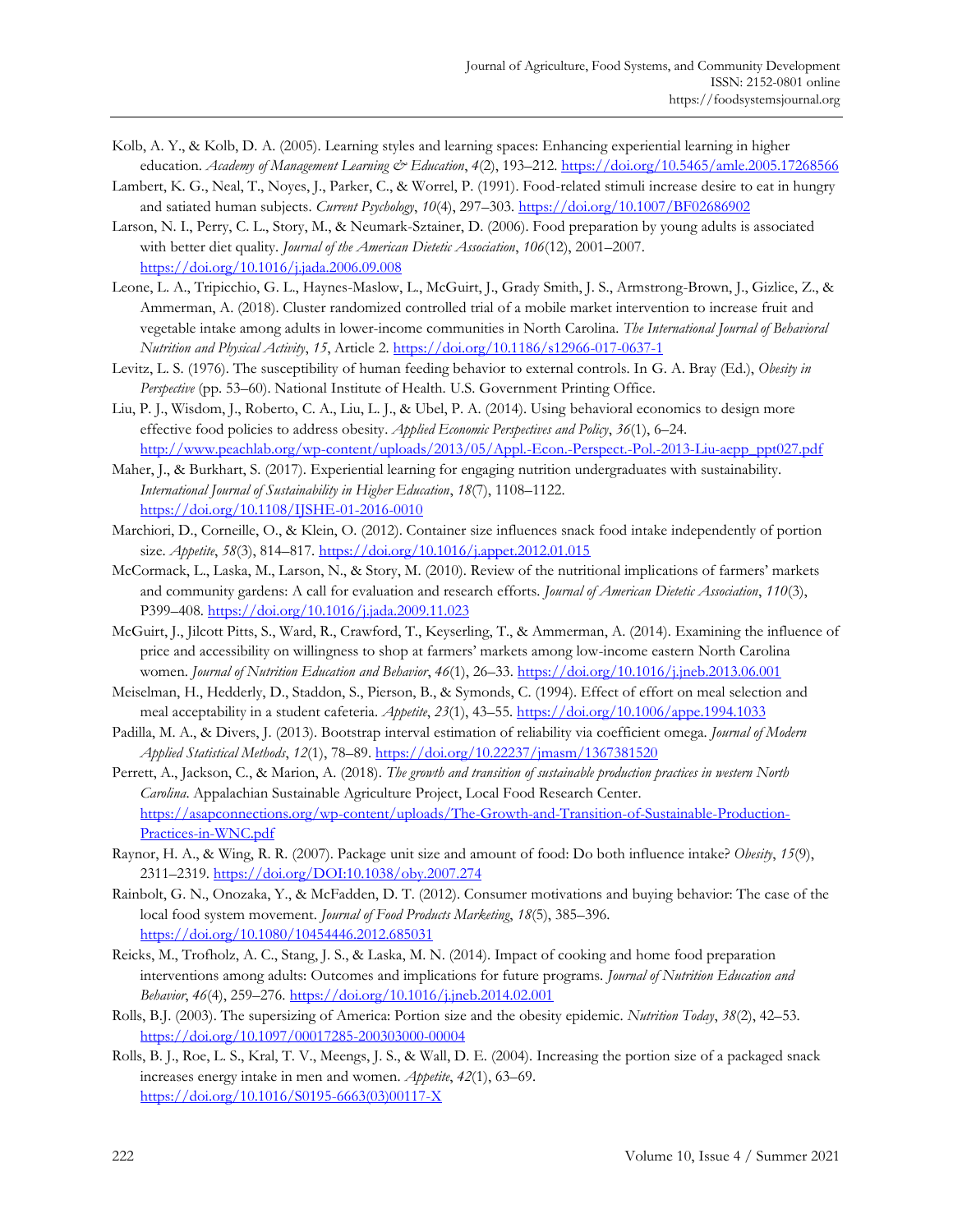- Kolb, A. Y., & Kolb, D. A. (2005). Learning styles and learning spaces: Enhancing experiential learning in higher education. *Academy of Management Learning & Education*, *4*(2), 193–212[. https://doi.org/10.5465/amle.2005.17268566](https://doi.org/10.5465/amle.2005.17268566)
- Lambert, K. G., Neal, T., Noyes, J., Parker, C., & Worrel, P. (1991). Food-related stimuli increase desire to eat in hungry and satiated human subjects. *Current Psychology*, *10*(4), 297–303.<https://doi.org/10.1007/BF02686902>
- Larson, N. I., Perry, C. L., Story, M., & Neumark-Sztainer, D. (2006). Food preparation by young adults is associated with better diet quality. *Journal of the American Dietetic Association*, *106*(12), 2001–2007. <https://doi.org/10.1016/j.jada.2006.09.008>
- Leone, L. A., Tripicchio, G. L., Haynes-Maslow, L., McGuirt, J., Grady Smith, J. S., Armstrong-Brown, J., Gizlice, Z., & Ammerman, A. (2018). Cluster randomized controlled trial of a mobile market intervention to increase fruit and vegetable intake among adults in lower-income communities in North Carolina. *The International Journal of Behavioral Nutrition and Physical Activity*, *15*, Article 2[. https://doi.org/10.1186/s12966-017-0637-1](https://doi.org/10.1186/s12966-017-0637-1)
- Levitz, L. S. (1976). The susceptibility of human feeding behavior to external controls. In G. A. Bray (Ed.), *Obesity in Perspective* (pp. 53–60). National Institute of Health. U.S. Government Printing Office.
- Liu, P. J., Wisdom, J., Roberto, C. A., Liu, L. J., & Ubel, P. A. (2014). Using behavioral economics to design more effective food policies to address obesity. *Applied Economic Perspectives and Policy*, *36*(1), 6–24. [http://www.peachlab.org/wp-content/uploads/2013/05/Appl.-Econ.-Perspect.-Pol.-2013-Liu-aepp\\_ppt027.pdf](http://www.peachlab.org/wp-content/uploads/2013/05/Appl.-Econ.-Perspect.-Pol.-2013-Liu-aepp_ppt027.pdf)
- Maher, J., & Burkhart, S. (2017). Experiential learning for engaging nutrition undergraduates with sustainability. *International Journal of Sustainability in Higher Education*, *18*(7), 1108–1122. <https://doi.org/10.1108/IJSHE-01-2016-0010>
- Marchiori, D., Corneille, O., & Klein, O. (2012). Container size influences snack food intake independently of portion size. *Appetite*, *58*(3), 814–817.<https://doi.org/10.1016/j.appet.2012.01.015>
- McCormack, L., Laska, M., Larson, N., & Story, M. (2010). Review of the nutritional implications of farmers' markets and community gardens: A call for evaluation and research efforts. *Journal of American Dietetic Association*, *110*(3), P399–408.<https://doi.org/10.1016/j.jada.2009.11.023>
- McGuirt, J., Jilcott Pitts, S., Ward, R., Crawford, T., Keyserling, T., & Ammerman, A. (2014). Examining the influence of price and accessibility on willingness to shop at farmers' markets among low-income eastern North Carolina women. *Journal of Nutrition Education and Behavior*, *46*(1), 26–33.<https://doi.org/10.1016/j.jneb.2013.06.001>
- Meiselman, H., Hedderly, D., Staddon, S., Pierson, B., & Symonds, C. (1994). Effect of effort on meal selection and meal acceptability in a student cafeteria. *Appetite*, *23*(1), 43–55.<https://doi.org/10.1006/appe.1994.1033>
- Padilla, M. A., & Divers, J. (2013). Bootstrap interval estimation of reliability via coefficient omega. *Journal of Modern Applied Statistical Methods*, *12*(1), 78–89.<https://doi.org/10.22237/jmasm/1367381520>
- Perrett, A., Jackson, C., & Marion, A. (2018). *The growth and transition of sustainable production practices in western North Carolina*. Appalachian Sustainable Agriculture Project, Local Food Research Center. [https://asapconnections.org/wp-content/uploads/The-Growth-and-Transition-of-Sustainable-Production-](https://asapconnections.org/wp-content/uploads/The-Growth-and-Transition-of-Sustainable-Production-Practices-in-WNC.pdf)[Practices-in-WNC.pdf](https://asapconnections.org/wp-content/uploads/The-Growth-and-Transition-of-Sustainable-Production-Practices-in-WNC.pdf)
- Raynor, H. A., & Wing, R. R. (2007). Package unit size and amount of food: Do both influence intake? *Obesity*, *15*(9), 2311–2319. <https://doi.org/DOI:10.1038/oby.2007.274>
- Rainbolt, G. N., Onozaka, Y., & McFadden, D. T. (2012). Consumer motivations and buying behavior: The case of the local food system movement. *Journal of Food Products Marketing*, *18*(5), 385–396. <https://doi.org/10.1080/10454446.2012.685031>
- Reicks, M., Trofholz, A. C., Stang, J. S., & Laska, M. N. (2014). Impact of cooking and home food preparation interventions among adults: Outcomes and implications for future programs. *Journal of Nutrition Education and Behavior*, *46*(4), 259–276.<https://doi.org/10.1016/j.jneb.2014.02.001>
- Rolls, B.J. (2003). The supersizing of America: Portion size and the obesity epidemic. *Nutrition Today*, *38*(2), 42–53. <https://doi.org/10.1097/00017285-200303000-00004>
- Rolls, B. J., Roe, L. S., Kral, T. V., Meengs, J. S., & Wall, D. E. (2004). Increasing the portion size of a packaged snack increases energy intake in men and women. *Appetite*, *42*(1), 63–69. [https://doi.org/10.1016/S0195-6663\(03\)00117-X](https://doi.org/10.1016/S0195-6663(03)00117-X)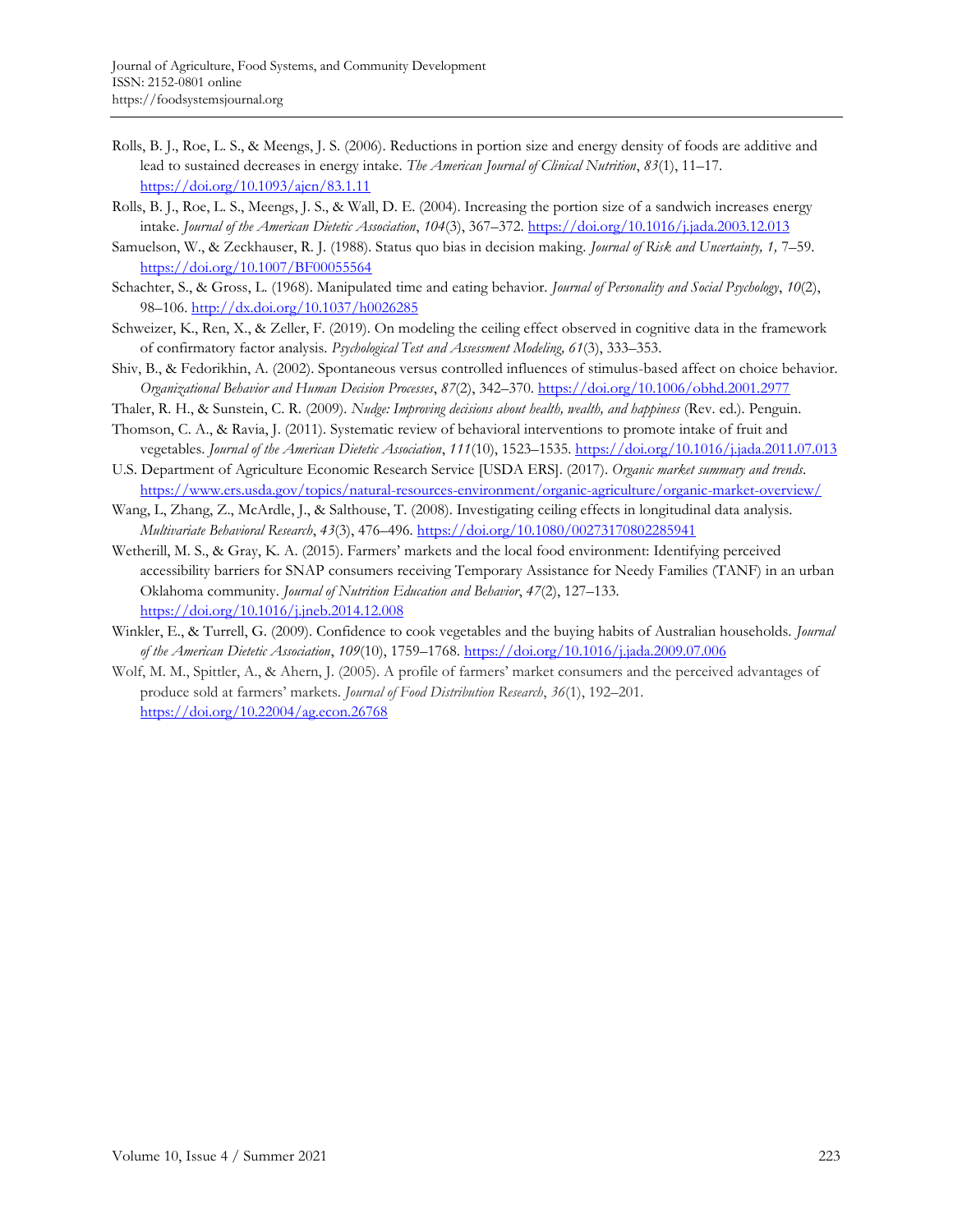- Rolls, B. J., Roe, L. S., & Meengs, J. S. (2006). Reductions in portion size and energy density of foods are additive and lead to sustained decreases in energy intake. *The American Journal of Clinical Nutrition*, *83*(1), 11–17. <https://doi.org/10.1093/ajcn/83.1.11>
- Rolls, B. J., Roe, L. S., Meengs, J. S., & Wall, D. E. (2004). Increasing the portion size of a sandwich increases energy intake. *Journal of the American Dietetic Association*, *104*(3), 367–372.<https://doi.org/10.1016/j.jada.2003.12.013>
- Samuelson, W., & Zeckhauser, R. J. (1988). Status quo bias in decision making. *Journal of Risk and Uncertainty, 1,* 7–59. <https://doi.org/10.1007/BF00055564>
- Schachter, S., & Gross, L. (1968). Manipulated time and eating behavior. *Journal of Personality and Social Psychology*, *10*(2), 98–106.<http://dx.doi.org/10.1037/h0026285>
- Schweizer, K., Ren, X., & Zeller, F. (2019). On modeling the ceiling effect observed in cognitive data in the framework of confirmatory factor analysis. *Psychological Test and Assessment Modeling, 61*(3), 333–353.
- Shiv, B., & Fedorikhin, A. (2002). Spontaneous versus controlled influences of stimulus-based affect on choice behavior. *Organizational Behavior and Human Decision Processes*, *87*(2), 342–370[. https://doi.org/10.1006/obhd.2001.2977](https://doi.org/10.1006/obhd.2001.2977)
- Thaler, R. H., & Sunstein, C. R. (2009). *Nudge: Improving decisions about health, wealth, and happiness* (Rev. ed.). Penguin.
- Thomson, C. A., & Ravia, J. (2011). Systematic review of behavioral interventions to promote intake of fruit and vegetables. *Journal of the American Dietetic Association*, *111*(10), 1523–1535.<https://doi.org/10.1016/j.jada.2011.07.013>
- U.S. Department of Agriculture Economic Research Service [USDA ERS]. (2017). *Organic market summary and trends*. <https://www.ers.usda.gov/topics/natural-resources-environment/organic-agriculture/organic-market-overview/>
- Wang, L, Zhang, Z., McArdle, J., & Salthouse, T. (2008). Investigating ceiling effects in longitudinal data analysis. *Multivariate Behavioral Research*, *43*(3), 476–496. <https://doi.org/10.1080/00273170802285941>
- Wetherill, M. S., & Gray, K. A. (2015). Farmers' markets and the local food environment: Identifying perceived accessibility barriers for SNAP consumers receiving Temporary Assistance for Needy Families (TANF) in an urban Oklahoma community. *Journal of Nutrition Education and Behavior*, *47*(2), 127–133. <https://doi.org/10.1016/j.jneb.2014.12.008>
- Winkler, E., & Turrell, G. (2009). Confidence to cook vegetables and the buying habits of Australian households. *Journal of the American Dietetic Association*, *109*(10), 1759–1768.<https://doi.org/10.1016/j.jada.2009.07.006>
- Wolf, M. M., Spittler, A., & Ahern, J. (2005). A profile of farmers' market consumers and the perceived advantages of produce sold at farmers' markets. *Journal of Food Distribution Research*, *36*(1), 192–201. <https://doi.org/10.22004/ag.econ.26768>